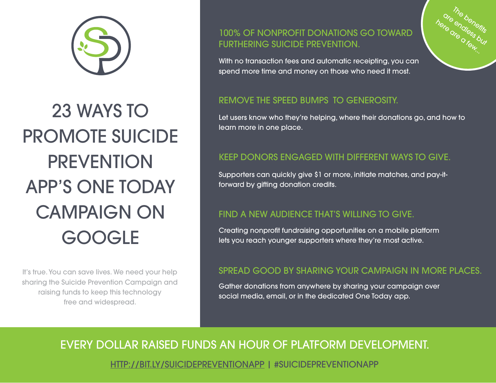

# 23 WAYS TO PROMOTE SUICIDE **PREVENTION** APP'S ONE TODAY CAMPAIGN ON

It's true. You can save lives. We need your help sharing the Suicide Prevention Campaign and raising funds to keep this technology free and widespread.

## 100% OF NONPROFIT DONATIONS GO TOWARD FURTHERING SUICIDE PREVENTION.



#### REMOVE THE SPEED BUMPS TO GENEROSITY.

Let users know who they're helping, where their donations go, and how to learn more in one place.

Th<sub>e benefits</sub> are <sup>re b</sup>enefits<br><sup>are endless but</sub></sup> ere and est.<br>Jere are and<br>Are a few...

### KEEP DONORS ENGAGED WITH DIFFERENT WAYS TO GIVE.

Supporters can quickly give \$1 or more, initiate matches, and pay-itforward by gifting donation credits.

### FIND A NEW AUDIENCE THAT'S WILLING TO GIVE.

Creating nonprofit fundraising opportunities on a mobile platform<br>lets you reach younger supporters where they're most active.

#### SPREAD GOOD BY SHARING YOUR CAMPAIGN IN MORE PLACES.

Gather donations from anywhere by sharing your campaign over social media, email, or in the dedicated One Today app.

EVERY DOLLAR RAISED FUNDS AN HOUR OF PLATFORM DEVELOPMENT.

[HTTP://BIT.LY/SUICIDEPREVENTIONAPP](https://onetoday.google.com/p/pyzwdpoj?c=5171345241145344) | #SUICIDEPREVENTIONAPP